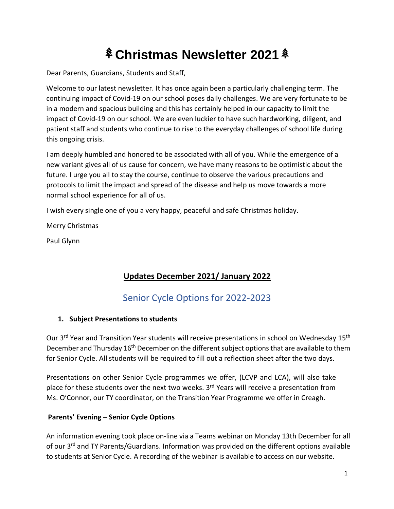# **Christmas Newsletter 2021**

Dear Parents, Guardians, Students and Staff,

Welcome to our latest newsletter. It has once again been a particularly challenging term. The continuing impact of Covid-19 on our school poses daily challenges. We are very fortunate to be in a modern and spacious building and this has certainly helped in our capacity to limit the impact of Covid-19 on our school. We are even luckier to have such hardworking, diligent, and patient staff and students who continue to rise to the everyday challenges of school life during this ongoing crisis.

I am deeply humbled and honored to be associated with all of you. While the emergence of a new variant gives all of us cause for concern, we have many reasons to be optimistic about the future. I urge you all to stay the course, continue to observe the various precautions and protocols to limit the impact and spread of the disease and help us move towards a more normal school experience for all of us.

I wish every single one of you a very happy, peaceful and safe Christmas holiday.

Merry Christmas

Paul Glynn

#### **Updates December 2021/ January 2022**

### Senior Cycle Options for 2022-2023

#### **1. Subject Presentations to students**

Our 3<sup>rd</sup> Year and Transition Year students will receive presentations in school on Wednesday 15<sup>th</sup> December and Thursday 16<sup>th</sup> December on the different subject options that are available to them for Senior Cycle. All students will be required to fill out a reflection sheet after the two days.

Presentations on other Senior Cycle programmes we offer, (LCVP and LCA), will also take place for these students over the next two weeks. 3<sup>rd</sup> Years will receive a presentation from Ms. O'Connor, our TY coordinator, on the Transition Year Programme we offer in Creagh.

#### **Parents' Evening – Senior Cycle Options**

An information evening took place on-line via a Teams webinar on Monday 13th December for all of our 3<sup>rd</sup> and TY Parents/Guardians. Information was provided on the different options available to students at Senior Cycle. A recording of the webinar is available to access on our website.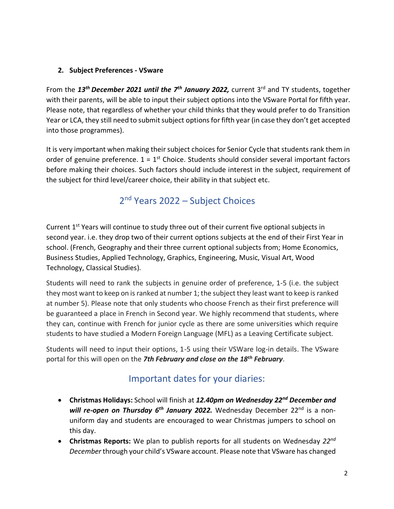#### **2. Subject Preferences - VSware**

From the *13th December 2021 until the 7th January 2022,* current 3rd and TY students, together with their parents, will be able to input their subject options into the VSware Portal for fifth year. Please note, that regardless of whether your child thinks that they would prefer to do Transition Year or LCA, they still need to submit subject options for fifth year (in case they don't get accepted into those programmes).

It is very important when making their subject choices for Senior Cycle that students rank them in order of genuine preference.  $1 = 1$ <sup>st</sup> Choice. Students should consider several important factors before making their choices. Such factors should include interest in the subject, requirement of the subject for third level/career choice, their ability in that subject etc.

### 2<sup>nd</sup> Years 2022 - Subject Choices

Current 1<sup>st</sup> Years will continue to study three out of their current five optional subjects in second year. i.e. they drop two of their current options subjects at the end of their First Year in school. (French, Geography and their three current optional subjects from; Home Economics, Business Studies, Applied Technology, Graphics, Engineering, Music, Visual Art, Wood Technology, Classical Studies).

Students will need to rank the subjects in genuine order of preference, 1-5 (i.e. the subject they most want to keep on is ranked at number 1; the subject they least want to keep is ranked at number 5). Please note that only students who choose French as their first preference will be guaranteed a place in French in Second year. We highly recommend that students, where they can, continue with French for junior cycle as there are some universities which require students to have studied a Modern Foreign Language (MFL) as a Leaving Certificate subject.

Students will need to input their options, 1-5 using their VSWare log-in details. The VSware portal for this will open on the *7th February and close on the 18th February*.

### Important dates for your diaries:

- **Christmas Holidays:** School will finish at *12.40pm on Wednesday 22nd December and*  will re-open on Thursday 6<sup>th</sup> January 2022. Wednesday December 22<sup>nd</sup> is a nonuniform day and students are encouraged to wear Christmas jumpers to school on this day.
- **Christmas Reports:** We plan to publish reports for all students on Wednesday *22nd December* through your child's VSware account. Please note that VSware has changed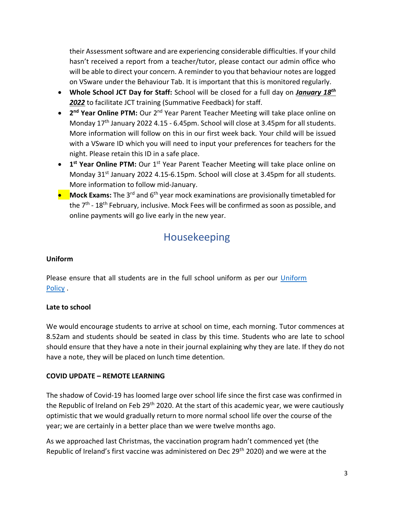their Assessment software and are experiencing considerable difficulties. If your child hasn't received a report from a teacher/tutor, please contact our admin office who will be able to direct your concern. A reminder to you that behaviour notes are logged on VSware under the Behaviour Tab. It is important that this is monitored regularly.

- **Whole School JCT Day for Staff:** School will be closed for a full day on *January 18th 2022* to facilitate JCT training (Summative Feedback) for staff.
- **2<sup>nd</sup> Year Online PTM:** Our 2<sup>nd</sup> Year Parent Teacher Meeting will take place online on Monday  $17<sup>th</sup>$  January 2022 4.15 - 6.45pm. School will close at 3.45pm for all students. More information will follow on this in our first week back. Your child will be issued with a VSware ID which you will need to input your preferences for teachers for the night. Please retain this ID in a safe place.
- 1<sup>st</sup> Year Online PTM: Our 1<sup>st</sup> Year Parent Teacher Meeting will take place online on Monday  $31<sup>st</sup>$  January 2022 4.15-6.15pm. School will close at 3.45pm for all students. More information to follow mid-January.
- **Mock Exams:** The 3<sup>rd</sup> and 6<sup>th</sup> year mock examinations are provisionally timetabled for the 7<sup>th</sup> - 18<sup>th</sup> February, inclusive. Mock Fees will be confirmed as soon as possible, and online payments will go live early in the new year.

## Housekeeping

#### **Uniform**

Please ensure that all students are in the full school uniform as per our [Uniform](https://creaghcollege.ie/wp-content/uploads/2021/09/Reviewed-Uniform-PolicyMay-2021-for-web.pdf)  [Policy](https://creaghcollege.ie/wp-content/uploads/2021/09/Reviewed-Uniform-PolicyMay-2021-for-web.pdf) .

#### **Late to school**

We would encourage students to arrive at school on time, each morning. Tutor commences at 8.52am and students should be seated in class by this time. Students who are late to school should ensure that they have a note in their journal explaining why they are late. If they do not have a note, they will be placed on lunch time detention.

#### **COVID UPDATE – REMOTE LEARNING**

The shadow of Covid-19 has loomed large over school life since the first case was confirmed in the Republic of Ireland on Feb 29<sup>th</sup> 2020. At the start of this academic year, we were cautiously optimistic that we would gradually return to more normal school life over the course of the year; we are certainly in a better place than we were twelve months ago.

As we approached last Christmas, the vaccination program hadn't commenced yet (the Republic of Ireland's first vaccine was administered on Dec 29<sup>th</sup> 2020) and we were at the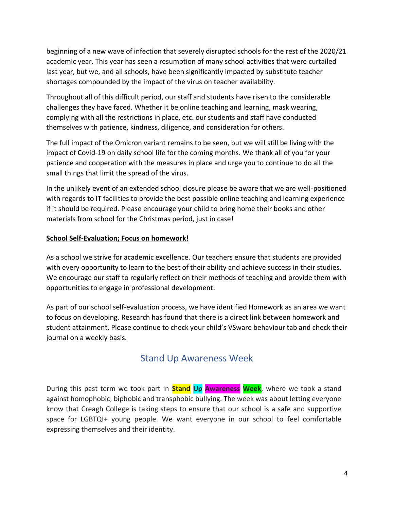beginning of a new wave of infection that severely disrupted schools for the rest of the 2020/21 academic year. This year has seen a resumption of many school activities that were curtailed last year, but we, and all schools, have been significantly impacted by substitute teacher shortages compounded by the impact of the virus on teacher availability.

Throughout all of this difficult period, our staff and students have risen to the considerable challenges they have faced. Whether it be online teaching and learning, mask wearing, complying with all the restrictions in place, etc. our students and staff have conducted themselves with patience, kindness, diligence, and consideration for others.

The full impact of the Omicron variant remains to be seen, but we will still be living with the impact of Covid-19 on daily school life for the coming months. We thank all of you for your patience and cooperation with the measures in place and urge you to continue to do all the small things that limit the spread of the virus.

In the unlikely event of an extended school closure please be aware that we are well-positioned with regards to IT facilities to provide the best possible online teaching and learning experience if it should be required. Please encourage your child to bring home their books and other materials from school for the Christmas period, just in case!

#### **School Self-Evaluation; Focus on homework!**

As a school we strive for academic excellence. Our teachers ensure that students are provided with every opportunity to learn to the best of their ability and achieve success in their studies. We encourage our staff to regularly reflect on their methods of teaching and provide them with opportunities to engage in professional development.

As part of our school self-evaluation process, we have identified Homework as an area we want to focus on developing. Research has found that there is a direct link between homework and student attainment. Please continue to check your child's VSware behaviour tab and check their journal on a weekly basis.

### Stand Up Awareness Week

During this past term we took part in **Stand Up Awareness Week**, where we took a stand against homophobic, biphobic and transphobic bullying. The week was about letting everyone know that Creagh College is taking steps to ensure that our school is a safe and supportive space for LGBTQI+ young people. We want everyone in our school to feel comfortable expressing themselves and their identity.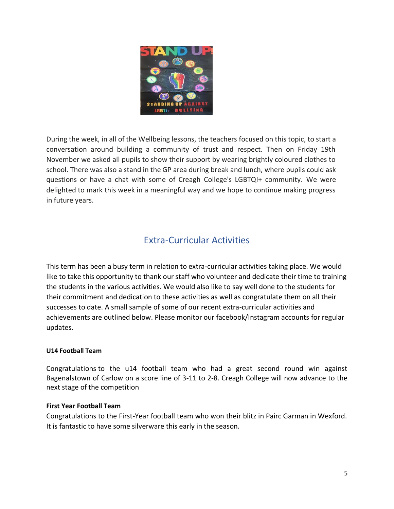

During the week, in all of the Wellbeing lessons, the teachers focused on this topic, to start a conversation around building a community of trust and respect. Then on Friday 19th November we asked all pupils to show their support by wearing brightly coloured clothes to school. There was also a stand in the GP area during break and lunch, where pupils could ask questions or have a chat with some of Creagh College's LGBTQI+ community. We were delighted to mark this week in a meaningful way and we hope to continue making progress in future years.

### Extra-Curricular Activities

This term has been a busy term in relation to extra-curricular activities taking place. We would like to take this opportunity to thank our staff who volunteer and dedicate their time to training the students in the various activities. We would also like to say well done to the students for their commitment and dedication to these activities as well as congratulate them on all their successes to date. A small sample of some of our recent extra-curricular activities and achievements are outlined below. Please monitor our facebook/Instagram accounts for regular updates.

#### **U14 Football Team**

Congratulations to the u14 football team who had a great second round win against Bagenalstown of Carlow on a score line of 3-11 to 2-8. Creagh College will now advance to the next stage of the competition

#### **First Year Football Team**

Congratulations to the First-Year football team who won their blitz in Pairc Garman in Wexford. It is fantastic to have some silverware this early in the season.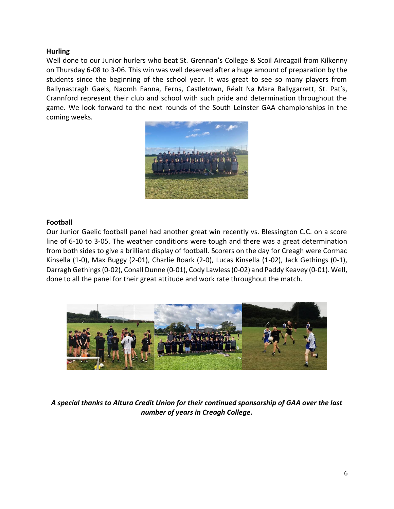#### **Hurling**

Well done to our Junior hurlers who beat St. Grennan's College & Scoil Aireagail from Kilkenny on Thursday 6-08 to 3-06. This win was well deserved after a huge amount of preparation by the students since the beginning of the school year. It was great to see so many players from Ballynastragh Gaels, Naomh Eanna, Ferns, Castletown, Réalt Na Mara Ballygarrett, St. Pat's, Crannford represent their club and school with such pride and determination throughout the game. We look forward to the next rounds of the South Leinster GAA championships in the coming weeks.



#### **Football**

Our Junior Gaelic football panel had another great win recently vs. Blessington C.C. on a score line of 6-10 to 3-05. The weather conditions were tough and there was a great determination from both sides to give a brilliant display of football. Scorers on the day for Creagh were Cormac Kinsella (1-0), Max Buggy (2-01), Charlie Roark (2-0), Lucas Kinsella (1-02), Jack Gethings (0-1), Darragh Gethings (0-02), Conall Dunne (0-01), Cody Lawless (0-02) and Paddy Keavey (0-01). Well, done to all the panel for their great attitude and work rate throughout the match.



*A special thanks to Altura Credit Union for their continued sponsorship of GAA over the last number of years in Creagh College.*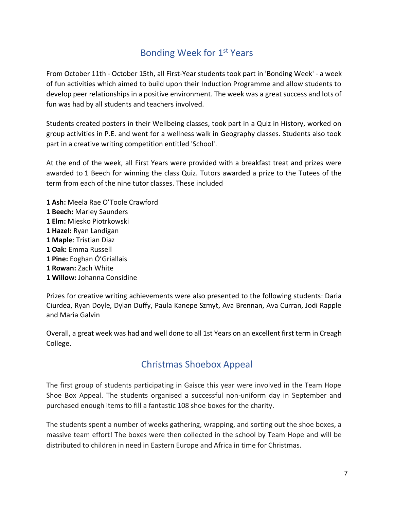### Bonding Week for 1<sup>st</sup> Years

From October 11th - October 15th, all First-Year students took part in 'Bonding Week' - a week of fun activities which aimed to build upon their Induction Programme and allow students to develop peer relationships in a positive environment. The week was a great success and lots of fun was had by all students and teachers involved.

Students created posters in their Wellbeing classes, took part in a Quiz in History, worked on group activities in P.E. and went for a wellness walk in Geography classes. Students also took part in a creative writing competition entitled 'School'.

At the end of the week, all First Years were provided with a breakfast treat and prizes were awarded to 1 Beech for winning the class Quiz. Tutors awarded a prize to the Tutees of the term from each of the nine tutor classes. These included

 **Ash:** Meela Rae O'Toole Crawford **Beech:** Marley Saunders **Elm:** Miesko Piotrkowski **Hazel:** Ryan Landigan **Maple**: Tristian Diaz **Oak:** Emma Russell **Pine:** Eoghan Ó'Griallais **Rowan:** Zach White **Willow:** Johanna Considine

Prizes for creative writing achievements were also presented to the following students: Daria Ciurdea, Ryan Doyle, Dylan Duffy, Paula Kanepe Szmyt, Ava Brennan, Ava Curran, Jodi Rapple and Maria Galvin

Overall, a great week was had and well done to all 1st Years on an excellent first term in Creagh College.

### Christmas Shoebox Appeal

The first group of students participating in Gaisce this year were involved in the Team Hope Shoe Box Appeal. The students organised a successful non-uniform day in September and purchased enough items to fill a fantastic 108 shoe boxes for the charity.

The students spent a number of weeks gathering, wrapping, and sorting out the shoe boxes, a massive team effort! The boxes were then collected in the school by Team Hope and will be distributed to children in need in Eastern Europe and Africa in time for Christmas.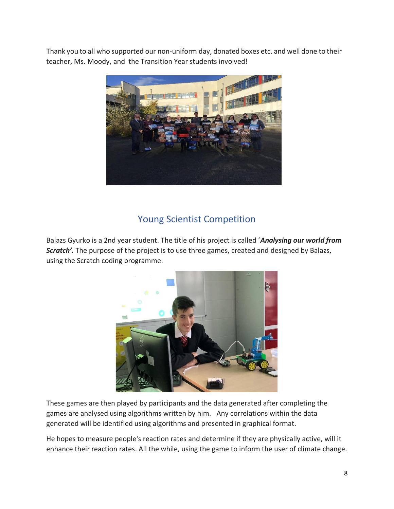Thank you to all who supported our non-uniform day, donated boxes etc. and well done to their teacher, Ms. Moody, and the Transition Year students involved!



### Young Scientist Competition

Balazs Gyurko is a 2nd year student. The title of his project is called '*Analysing our world from Scratch'.* The purpose of the project is to use three games, created and designed by Balazs, using the Scratch coding programme.



These games are then played by participants and the data generated after completing the games are analysed using algorithms written by him. Any correlations within the data generated will be identified using algorithms and presented in graphical format.

He hopes to measure people's reaction rates and determine if they are physically active, will it enhance their reaction rates. All the while, using the game to inform the user of climate change.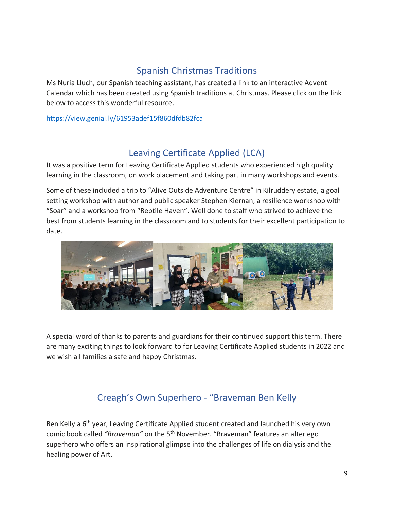### Spanish Christmas Traditions

Ms Nuria Lluch, our Spanish teaching assistant, has created a link to an interactive Advent Calendar which has been created using Spanish traditions at Christmas. Please click on the link below to access this wonderful resource.

<https://view.genial.ly/61953adef15f860dfdb82fca>

### Leaving Certificate Applied (LCA)

It was a positive term for Leaving Certificate Applied students who experienced high quality learning in the classroom, on work placement and taking part in many workshops and events.

Some of these included a trip to "Alive Outside Adventure Centre" in Kilruddery estate, a goal setting workshop with author and public speaker Stephen Kiernan, a resilience workshop with "Soar" and a workshop from "Reptile Haven". Well done to staff who strived to achieve the best from students learning in the classroom and to students for their excellent participation to date.



A special word of thanks to parents and guardians for their continued support this term. There are many exciting things to look forward to for Leaving Certificate Applied students in 2022 and we wish all families a safe and happy Christmas.

### Creagh's Own Superhero - "Braveman Ben Kelly

Ben Kelly a 6<sup>th</sup> year, Leaving Certificate Applied student created and launched his very own comic book called *"Braveman"* on the 5th November. "Braveman" features an alter ego superhero who offers an inspirational glimpse into the challenges of life on dialysis and the healing power of Art.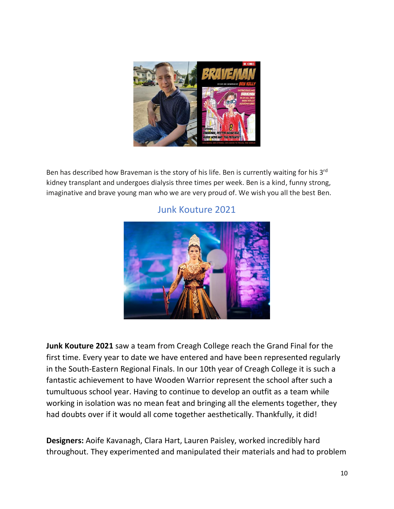

Ben has described how Braveman is the story of his life. Ben is currently waiting for his 3<sup>rd</sup> kidney transplant and undergoes dialysis three times per week. Ben is a kind, funny strong, imaginative and brave young man who we are very proud of. We wish you all the best Ben.



#### Junk Kouture 2021

**Junk Kouture 2021** saw a team from Creagh College reach the Grand Final for the first time. Every year to date we have entered and have been represented regularly in the South-Eastern Regional Finals. In our 10th year of Creagh College it is such a fantastic achievement to have Wooden Warrior represent the school after such a tumultuous school year. Having to continue to develop an outfit as a team while working in isolation was no mean feat and bringing all the elements together, they had doubts over if it would all come together aesthetically. Thankfully, it did!

**Designers:** Aoife Kavanagh, Clara Hart, Lauren Paisley, worked incredibly hard throughout. They experimented and manipulated their materials and had to problem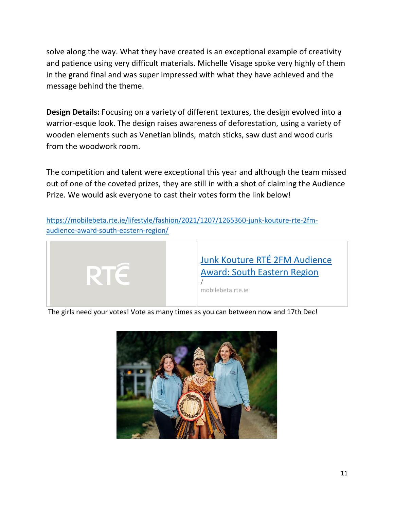solve along the way. What they have created is an exceptional example of creativity and patience using very difficult materials. Michelle Visage spoke very highly of them in the grand final and was super impressed with what they have achieved and the message behind the theme.

**Design Details:** Focusing on a variety of different textures, the design evolved into a warrior-esque look. The design raises awareness of deforestation, using a variety of wooden elements such as Venetian blinds, match sticks, saw dust and wood curls from the woodwork room.

The competition and talent were exceptional this year and although the team missed out of one of the coveted prizes, they are still in with a shot of claiming the Audience Prize. We would ask everyone to cast their votes form the link below!

[https://mobilebeta.rte.ie/lifestyle/fashion/2021/1207/1265360-junk-kouture-rte-2fm](https://mobilebeta.rte.ie/lifestyle/fashion/2021/1207/1265360-junk-kouture-rte-2fm-audience-award-south-eastern-region/)[audience-award-south-eastern-region/](https://mobilebeta.rte.ie/lifestyle/fashion/2021/1207/1265360-junk-kouture-rte-2fm-audience-award-south-eastern-region/)



The girls need your votes! Vote as many times as you can between now and 17th Dec!